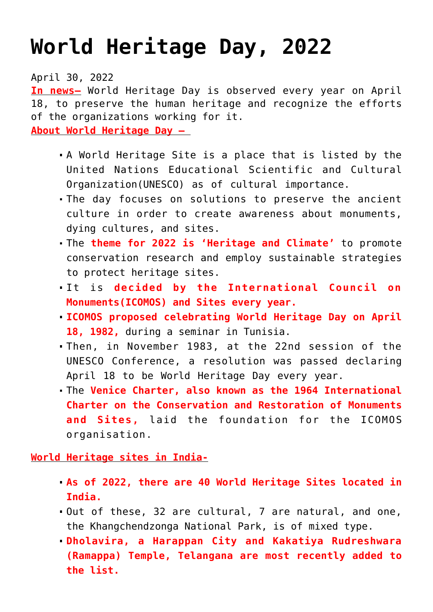## **[World Heritage Day, 2022](https://journalsofindia.com/world-heritage-day-2022/)**

April 30, 2022

**In news–** World Heritage Day is observed every year on April 18, to preserve the human heritage and recognize the efforts of the organizations working for it.

**About World Heritage Day –** 

- A World Heritage Site is a place that is listed by the United Nations Educational Scientific and Cultural Organization(UNESCO) as of cultural importance.
- The day focuses on solutions to preserve the ancient culture in order to create awareness about monuments, dying cultures, and sites.
- The **theme for 2022 is 'Heritage and Climate'** to promote conservation research and employ sustainable strategies to protect heritage sites.
- It is **decided by the International Council on Monuments(ICOMOS) and Sites every year.**
- **ICOMOS proposed celebrating World Heritage Day on April 18, 1982,** during a seminar in Tunisia.
- Then, in November 1983, at the 22nd session of the UNESCO Conference, a resolution was passed declaring April 18 to be World Heritage Day every year.
- The **Venice Charter, also known as the 1964 International Charter on the Conservation and Restoration of Monuments and Sites,** laid the foundation for the ICOMOS organisation.

**World Heritage sites in India-**

- **As of 2022, there are 40 World Heritage Sites located in India.**
- Out of these, 32 are cultural, 7 are natural, and one, the Khangchendzonga National Park, is of mixed type.
- **Dholavira, a Harappan City and Kakatiya Rudreshwara (Ramappa) Temple, Telangana are most recently added to the list.**